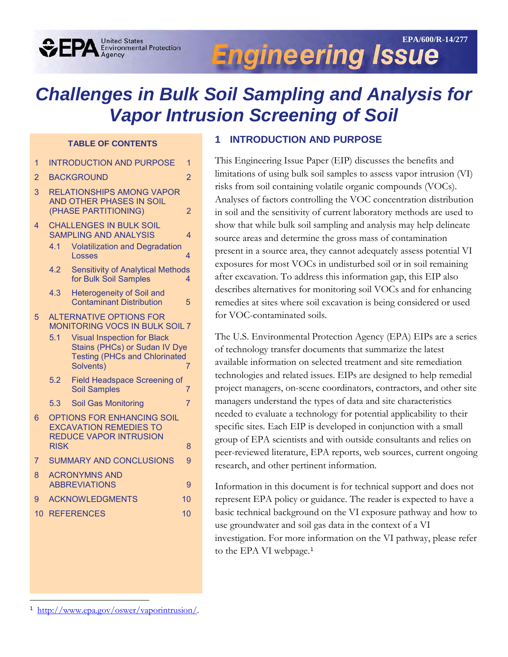# **Engineering Issue**

# *Challenges in Bulk Soil Sampling and Analysis for Vapor Intrusion Screening of Soil*

#### **TABLE OF CONTENTS**

**United States** 

**Environmental Protection**<br>Agency

- 1 [INTRODUCTION AND PURPOSE 1](#page-0-0)
- 2 [BACKGROUND](#page-1-0) 2 2
- 3 [RELATIONSHIPS AMONG VAPOR](#page-1-1)  [AND OTHER PHASES IN SOIL](#page-1-1)  [\(PHASE PARTITIONING\) 2](#page-1-1)
- **CHALLENGES IN BULK SOIL** [SAMPLING AND ANALYSIS 4](#page-3-0)
	- 4.1 [Volatilization and Degradation](#page-3-1)  [Losses](#page-3-1) 4
	- 4.2 [Sensitivity of Analytical Methods](#page-3-2)  [for Bulk Soil Samples 4](#page-3-2)
	- 4.3 [Heterogeneity of Soil and](#page-4-0)  Contaminant [Distribution 5](#page-4-0)
- 5 [ALTERNATIVE OPTIONS FOR](#page-6-0)  [MONITORING VOCS IN BULK SOIL 7](#page-6-0)
	- 5.1 [Visual Inspection for Black](#page-6-1)  [Stains \(PHCs\) or Sudan IV Dye](#page-6-1)  [Testing \(PHCs and Chlorinated](#page-6-1)  [Solvents\)](#page-6-1)
	- 5.2 [Field Headspace Screening of](#page-6-2)  Soil [Samples](#page-6-2) 7
	- 5.3 [Soil Gas Monitoring 7](#page-6-3)
- 6 [OPTIONS FOR ENHANCING SOIL](#page-7-0)  [EXCAVATION REMEDIES TO](#page-7-0)  REDUCE [VAPOR INTRUSION](#page-7-0)  [RISK](#page-7-0) 8
- 7 [SUMMARY AND CONCLUSIONS 9](#page-8-0)

| 8 ACRONYMNS AND      |  |
|----------------------|--|
| <b>ABBREVIATIONS</b> |  |
|                      |  |

- 9 [ACKNOWLEDGMENTS](#page-9-0) 10
- 10 [REFERENCES](#page-9-1) 10

l

#### <span id="page-0-0"></span>**1 INTRODUCTION AND PURPOSE**

This Engineering Issue Paper (EIP) discusses the benefits and limitations of using bulk soil samples to assess vapor intrusion (VI) risks from soil containing volatile organic compounds (VOCs). Analyses of factors controlling the VOC concentration distribution in soil and the sensitivity of current laboratory methods are used to show that while bulk soil sampling and analysis may help delineate source areas and determine the gross mass of contamination present in a source area, they cannot adequately assess potential VI exposures for most VOCs in undisturbed soil or in soil remaining after excavation. To address this information gap, this EIP also describes alternatives for monitoring soil VOCs and for enhancing remedies at sites where soil excavation is being considered or used for VOC-contaminated soils.

The U.S. Environmental Protection Agency (EPA) EIPs are a series of technology transfer documents that summarize the latest available information on selected treatment and site remediation technologies and related issues. EIPs are designed to help remedial project managers, on-scene coordinators, contractors, and other site managers understand the types of data and site characteristics needed to evaluate a technology for potential applicability to their specific sites. Each EIP is developed in conjunction with a small group of EPA scientists and with outside consultants and relies on peer-reviewed literature, EPA reports, web sources, current ongoing research, and other pertinent information.

Information in this document is for technical support and does not represent EPA policy or guidance. The reader is expected to have a basic technical background on the VI exposure pathway and how to use groundwater and soil gas data in the context of a VI investigation. For more information on the VI pathway, please refer to the EPA VI webpage. [1](#page-0-1)

<span id="page-0-1"></span><sup>&</sup>lt;sup>1</sup> [http://www.epa.gov/oswer/vaporintrusion/.](http://www.epa.gov/oswer/vaporintrusion/)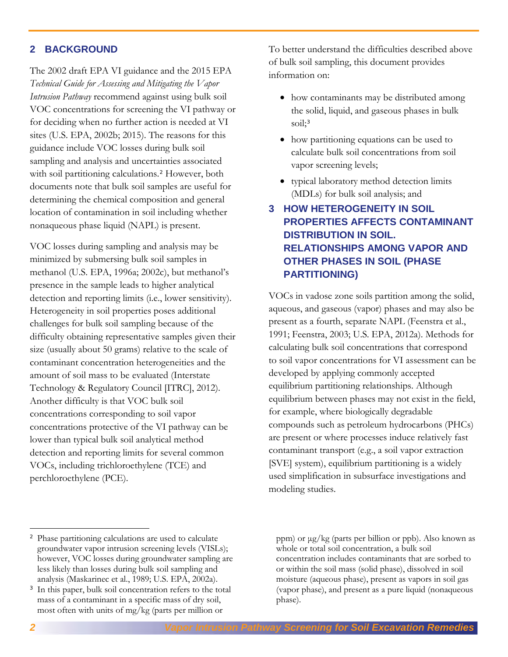#### <span id="page-1-0"></span>**2 BACKGROUND**

The 2002 draft EPA VI guidance and the 2015 EPA *Technical Guide for Assessing and Mitigating the Vapor Intrusion Pathway* recommend against using bulk soil VOC concentrations for screening the VI pathway or for deciding when no further action is needed at VI sites (U.S. EPA, 2002b; 2015). The reasons for this guidance include VOC losses during bulk soil sampling and analysis and uncertainties associated with soil partitioning calculations.<sup>[2](#page-1-2)</sup> However, both documents note that bulk soil samples are useful for determining the chemical composition and general location of contamination in soil including whether nonaqueous phase liquid (NAPL) is present.

VOC losses during sampling and analysis may be minimized by submersing bulk soil samples in methanol (U.S. EPA, 1996a; 2002c), but methanol's presence in the sample leads to higher analytical detection and reporting limits (i.e., lower sensitivity). Heterogeneity in soil properties poses additional challenges for bulk soil sampling because of the difficulty obtaining representative samples given their size (usually about 50 grams) relative to the scale of contaminant concentration heterogeneities and the amount of soil mass to be evaluated (Interstate Technology & Regulatory Council [ITRC], 2012). Another difficulty is that VOC bulk soil concentrations corresponding to soil vapor concentrations protective of the VI pathway can be lower than typical bulk soil analytical method detection and reporting limits for several common VOCs, including trichloroethylene (TCE) and perchloroethylene (PCE).

To better understand the difficulties described above of bulk soil sampling, this document provides information on:

- how contaminants may be distributed among the solid, liquid, and gaseous phases in bulk soil:<sup>[3](#page-1-3)</sup>
- how partitioning equations can be used to calculate bulk soil concentrations from soil vapor screening levels;
- typical laboratory method detection limits (MDLs) for bulk soil analysis; and

# <span id="page-1-1"></span>**3 HOW HETEROGENEITY IN SOIL PROPERTIES AFFECTS CONTAMINANT DISTRIBUTION IN SOIL. RELATIONSHIPS AMONG VAPOR AND OTHER PHASES IN SOIL (PHASE PARTITIONING)**

VOCs in vadose zone soils partition among the solid, aqueous, and gaseous (vapor) phases and may also be present as a fourth, separate NAPL (Feenstra et al., 1991; Feenstra, 2003; U.S. EPA, 2012a). Methods for calculating bulk soil concentrations that correspond to soil vapor concentrations for VI assessment can be developed by applying commonly accepted equilibrium partitioning relationships. Although equilibrium between phases may not exist in the field, for example, where biologically degradable compounds such as petroleum hydrocarbons (PHCs) are present or where processes induce relatively fast contaminant transport (e.g., a soil vapor extraction [SVE] system), equilibrium partitioning is a widely used simplification in subsurface investigations and modeling studies.

l

<span id="page-1-2"></span><sup>2</sup> Phase partitioning calculations are used to calculate groundwater vapor intrusion screening levels (VISLs); however, VOC losses during groundwater sampling are less likely than losses during bulk soil sampling and analysis (Maskarinec et al., 1989; U.S. EPA, 2002a).

<span id="page-1-3"></span><sup>&</sup>lt;sup>3</sup> In this paper, bulk soil concentration refers to the total mass of a contaminant in a specific mass of dry soil, most often with units of mg/kg (parts per million or

ppm) or μg/kg (parts per billion or ppb). Also known as whole or total soil concentration, a bulk soil concentration includes contaminants that are sorbed to or within the soil mass (solid phase), dissolved in soil moisture (aqueous phase), present as vapors in soil gas (vapor phase), and present as a pure liquid (nonaqueous phase).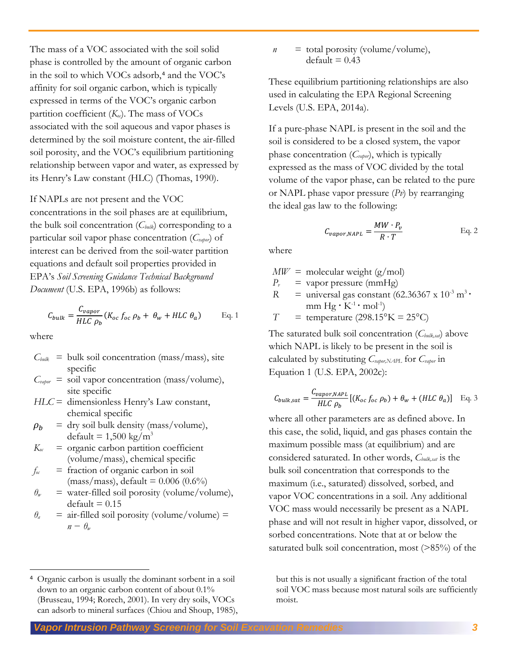The mass of a VOC associated with the soil solid phase is controlled by the amount of organic carbon in the soil to which VOCs adsorb,<sup>[4](#page-2-0)</sup> and the VOC's affinity for soil organic carbon, which is typically expressed in terms of the VOC's organic carbon partition coefficient  $(K_{oc})$ . The mass of VOCs associated with the soil aqueous and vapor phases is determined by the soil moisture content, the air-filled soil porosity, and the VOC's equilibrium partitioning relationship between vapor and water, as expressed by its Henry's Law constant (HLC) (Thomas, 1990).

#### If NAPLs are not present and the VOC

concentrations in the soil phases are at equilibrium, the bulk soil concentration (*Cbulk*) corresponding to a particular soil vapor phase concentration (*Cvapor*) of interest can be derived from the soil-water partition equations and default soil properties provided in EPA's *Soil Screening Guidance Technical Background Document* (U.S. EPA, 1996b) as follows:

$$
C_{bulk} = \frac{C_{vapor}}{HLC \rho_b} (K_{oc} f_{oc} \rho_b + \theta_w + HLC \theta_a)
$$
 Eq. 1

where

 $\overline{\phantom{a}}$ 

- $C_{bulk}$  = bulk soil concentration (mass/mass), site specific
- $C_{\textit{vapor}}$  = soil vapor concentration (mass/volume), site specific
- *HLC* = dimensionless Henry's Law constant, chemical specific
- $\rho_b$  = dry soil bulk density (mass/volume), default =  $1,500 \text{ kg/m}^3$
- $K_{\alpha c}$  = organic carbon partition coefficient (volume/mass), chemical specific
- $f_{\alpha}$  = fraction of organic carbon in soil  $(mass/mass)$ , default = 0.006 (0.6%)
- $\theta$ <sup>*w*</sup> = water-filled soil porosity (volume/volume),  $default = 0.15$
- $\theta$ <sup>a</sup> = air-filled soil porosity (volume/volume) =  $n - \theta_w$

 $n =$  total porosity (volume/volume),  $default = 0.43$ 

These equilibrium partitioning relationships are also used in calculating the EPA Regional Screening Levels (U.S. EPA, 2014a).

If a pure-phase NAPL is present in the soil and the soil is considered to be a closed system, the vapor phase concentration (*Cvapor*), which is typically expressed as the mass of VOC divided by the total volume of the vapor phase, can be related to the pure or NAPL phase vapor pressure (*Pv*) by rearranging the ideal gas law to the following:

$$
C_{vapor, NAPL} = \frac{MW \cdot P_v}{R \cdot T}
$$
 Eq. 2

where

 $MW = molecular weight (g/mol)$ 

- *Pv* = vapor pressure (mmHg)
- $R =$  universal gas constant (62.36367 x 10<sup>-3</sup> m<sup>3</sup> mm  $Hg \cdot K^{-1} \cdot mol^{-1}$

 $T =$  temperature (298.15°K = 25°C)

The saturated bulk soil concentration (*Cbulk,sat*) above which NAPL is likely to be present in the soil is calculated by substituting *Cvapor,NAPL* for *Cvapor* in Equation 1 (U.S. EPA, 2002c):

$$
C_{bulk,sat} = \frac{C_{vapor, NAPI}}{HLC \rho_b} [(K_{oc} f_{oc} \rho_b) + \theta_w + (HLC \theta_a)] \text{ Eq. 3}
$$

where all other parameters are as defined above. In this case, the solid, liquid, and gas phases contain the maximum possible mass (at equilibrium) and are considered saturated. In other words, *Cbulk,sat* is the bulk soil concentration that corresponds to the maximum (i.e., saturated) dissolved, sorbed, and vapor VOC concentrations in a soil. Any additional VOC mass would necessarily be present as a NAPL phase and will not result in higher vapor, dissolved, or sorbed concentrations. Note that at or below the saturated bulk soil concentration, most (>85%) of the

but this is not usually a significant fraction of the total soil VOC mass because most natural soils are sufficiently moist.

*Vapor Intrusion Pathway Screening for Soil Excavation Remedies 3* 

<span id="page-2-0"></span><sup>4</sup> Organic carbon is usually the dominant sorbent in a soil down to an organic carbon content of about 0.1% (Brusseau, 1994; Rorech, 2001). In very dry soils, VOCs can adsorb to mineral surfaces (Chiou and Shoup, 1985),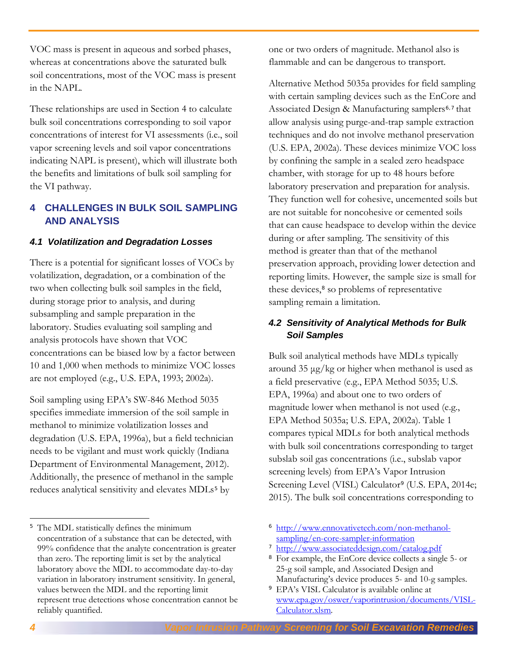VOC mass is present in aqueous and sorbed phases, whereas at concentrations above the saturated bulk soil concentrations, most of the VOC mass is present in the NAPL.

These relationships are used in Section 4 to calculate bulk soil concentrations corresponding to soil vapor concentrations of interest for VI assessments (i.e., soil vapor screening levels and soil vapor concentrations indicating NAPL is present), which will illustrate both the benefits and limitations of bulk soil sampling for the VI pathway.

# <span id="page-3-0"></span>**4 CHALLENGES IN BULK SOIL SAMPLING AND ANALYSIS**

#### <span id="page-3-1"></span>*4.1 Volatilization and Degradation Losses*

There is a potential for significant losses of VOCs by volatilization, degradation, or a combination of the two when collecting bulk soil samples in the field, during storage prior to analysis, and during subsampling and sample preparation in the laboratory. Studies evaluating soil sampling and analysis protocols have shown that VOC concentrations can be biased low by a factor between 10 and 1,000 when methods to minimize VOC losses are not employed (e.g., U.S. EPA, 1993; 2002a).

Soil sampling using EPA's SW-846 Method 5035 specifies immediate immersion of the soil sample in methanol to minimize volatilization losses and degradation (U.S. EPA, 1996a), but a field technician needs to be vigilant and must work quickly (Indiana Department of Environmental Management, 2012). Additionally, the presence of methanol in the sample reduces analytical sensitivity and elevates MDLs<sup>[5](#page-3-3)</sup> by

one or two orders of magnitude. Methanol also is flammable and can be dangerous to transport.

Alternative Method 5035a provides for field sampling with certain sampling devices such as the EnCore and Associated Design & Manufacturing samplers<sup>[6](#page-3-3),[7](#page-3-4)</sup> that allow analysis using purge-and-trap sample extraction techniques and do not involve methanol preservation (U.S. EPA, 2002a). These devices minimize VOC loss by confining the sample in a sealed zero headspace chamber, with storage for up to 48 hours before laboratory preservation and preparation for analysis. They function well for cohesive, uncemented soils but are not suitable for noncohesive or cemented soils that can cause headspace to develop within the device during or after sampling. The sensitivity of this method is greater than that of the methanol preservation approach, providing lower detection and reporting limits. However, the sample size is small for these devices,<sup>[8](#page-3-5)</sup> so problems of representative sampling remain a limitation.

#### <span id="page-3-2"></span>*4.2 Sensitivity of Analytical Methods for Bulk Soil Samples*

Bulk soil analytical methods have MDLs typically around 35 μg/kg or higher when methanol is used as a field preservative (e.g., EPA Method 5035; U.S. EPA, 1996a) and about one to two orders of magnitude lower when methanol is not used (e.g., EPA Method 5035a; U.S. EPA, 2002a). Table 1 compares typical MDLs for both analytical methods with bulk soil concentrations corresponding to target subslab soil gas concentrations (i.e., subslab vapor screening levels) from EPA's Vapor Intrusion Screening Level (VISL) Calculator<sup>[9](#page-3-6)</sup> (U.S. EPA, 2014e; 2015). The bulk soil concentrations corresponding to

l

<span id="page-3-6"></span><span id="page-3-5"></span><span id="page-3-4"></span><span id="page-3-3"></span><sup>&</sup>lt;sup>5</sup> The MDL statistically defines the minimum concentration of a substance that can be detected, with 99% confidence that the analyte concentration is greater than zero. The reporting limit is set by the analytical laboratory above the MDL to accommodate day-to-day variation in laboratory instrument sensitivity. In general, values between the MDL and the reporting limit represent true detections whose concentration cannot be reliably quantified.

<sup>6</sup> [http://www.ennovativetech.com/non-methanol](http://www.ennovativetech.com/non-methanol-sampling/en-core-sampler-information)[sampling/en-core-sampler-information](http://www.ennovativetech.com/non-methanol-sampling/en-core-sampler-information) 

<sup>7</sup> <http://www.associateddesign.com/catalog.pdf>

<sup>8</sup> For example, the EnCore device collects a single 5- or 25-g soil sample, and Associated Design and Manufacturing's device produces 5- and 10-g samples.

<sup>9</sup> EPA's VISL Calculator is available online at [www.epa.gov/oswer/vaporintrusion/documents/VISL-](http://www.epa.gov/oswer/vaporintrusion/documents/VISL-Calculator.xlsm)[Calculator.xlsm](http://www.epa.gov/oswer/vaporintrusion/documents/VISL-Calculator.xlsm)*.*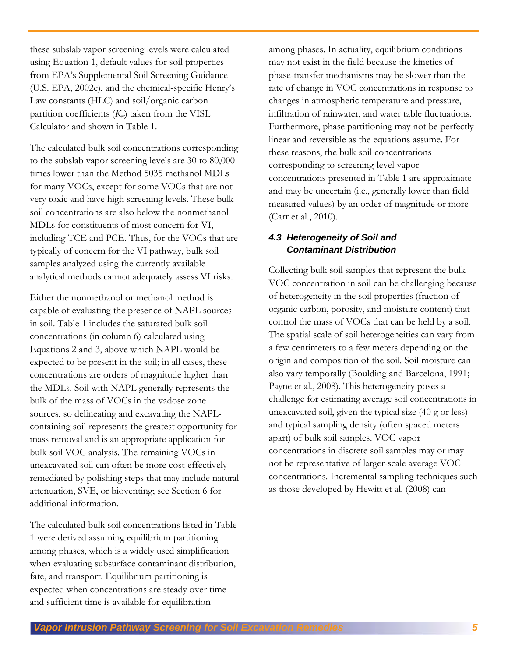these subslab vapor screening levels were calculated using Equation 1, default values for soil properties from EPA's Supplemental Soil Screening Guidance (U.S. EPA, 2002c), and the chemical-specific Henry's Law constants (HLC) and soil/organic carbon partition coefficients  $(K_{\alpha})$  taken from the VISL Calculator and shown in Table 1.

The calculated bulk soil concentrations corresponding to the subslab vapor screening levels are 30 to 80,000 times lower than the Method 5035 methanol MDLs for many VOCs, except for some VOCs that are not very toxic and have high screening levels. These bulk soil concentrations are also below the nonmethanol MDLs for constituents of most concern for VI, including TCE and PCE. Thus, for the VOCs that are typically of concern for the VI pathway, bulk soil samples analyzed using the currently available analytical methods cannot adequately assess VI risks.

Either the nonmethanol or methanol method is capable of evaluating the presence of NAPL sources in soil. Table 1 includes the saturated bulk soil concentrations (in column 6) calculated using Equations 2 and 3, above which NAPL would be expected to be present in the soil; in all cases, these concentrations are orders of magnitude higher than the MDLs. Soil with NAPL generally represents the bulk of the mass of VOCs in the vadose zone sources, so delineating and excavating the NAPLcontaining soil represents the greatest opportunity for mass removal and is an appropriate application for bulk soil VOC analysis. The remaining VOCs in unexcavated soil can often be more cost-effectively remediated by polishing steps that may include natural attenuation, SVE, or bioventing; see Section 6 for additional information.

The calculated bulk soil concentrations listed in Table 1 were derived assuming equilibrium partitioning among phases, which is a widely used simplification when evaluating subsurface contaminant distribution, fate, and transport. Equilibrium partitioning is expected when concentrations are steady over time and sufficient time is available for equilibration

among phases. In actuality, equilibrium conditions may not exist in the field because the kinetics of phase-transfer mechanisms may be slower than the rate of change in VOC concentrations in response to changes in atmospheric temperature and pressure, infiltration of rainwater, and water table fluctuations. Furthermore, phase partitioning may not be perfectly linear and reversible as the equations assume. For these reasons, the bulk soil concentrations corresponding to screening-level vapor concentrations presented in Table 1 are approximate and may be uncertain (i.e., generally lower than field measured values) by an order of magnitude or more (Carr et al., 2010).

#### <span id="page-4-0"></span>*4.3 Heterogeneity of Soil and Contaminant Distribution*

Collecting bulk soil samples that represent the bulk VOC concentration in soil can be challenging because of heterogeneity in the soil properties (fraction of organic carbon, porosity, and moisture content) that control the mass of VOCs that can be held by a soil. The spatial scale of soil heterogeneities can vary from a few centimeters to a few meters depending on the origin and composition of the soil. Soil moisture can also vary temporally (Boulding and Barcelona, 1991; Payne et al., 2008). This heterogeneity poses a challenge for estimating average soil concentrations in unexcavated soil, given the typical size (40 g or less) and typical sampling density (often spaced meters apart) of bulk soil samples. VOC vapor concentrations in discrete soil samples may or may not be representative of larger-scale average VOC concentrations. Incremental sampling techniques such as those developed by Hewitt et al. (2008) can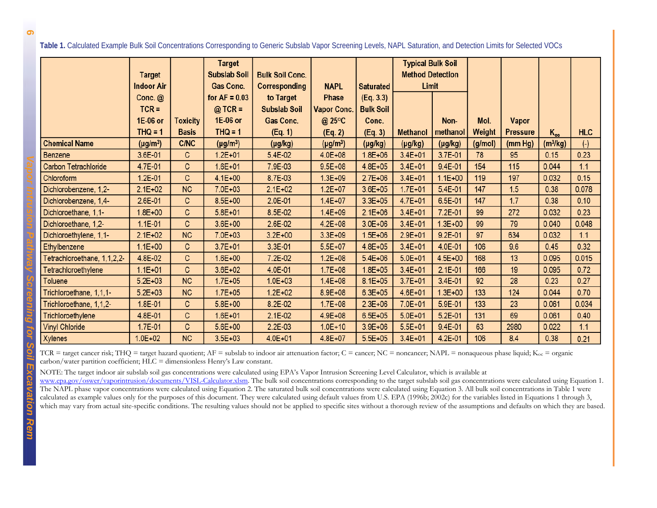**Table 1.** Calculated Example Bulk Soil Concentrations Corresponding to Generic Subslab Vapor Screening Levels, NAPL Saturation, and Detection Limits for Selected VOCs

|                             | <b>Target</b><br><b>Indoor Air</b> |                 | Target<br><b>Subslab Soil</b><br><b>Gas Conc.</b> | <b>Bulk Soil Conc.</b><br>Corresponding | <b>NAPL</b>        | <b>Saturated</b> | <b>Typical Bulk Soil</b><br><b>Method Detection</b><br>Limit |              |         |                 |            |            |
|-----------------------------|------------------------------------|-----------------|---------------------------------------------------|-----------------------------------------|--------------------|------------------|--------------------------------------------------------------|--------------|---------|-----------------|------------|------------|
|                             | Conc. $@$                          |                 | for $AF = 0.03$                                   | to Target                               | Phase              | (Eq. 3.3)        |                                                              |              |         |                 |            |            |
|                             | $TCR =$                            |                 | $@$ TCR =                                         | <b>Subslab Soil</b>                     | <b>Vapor Conc.</b> | <b>Bulk Soil</b> |                                                              |              |         |                 |            |            |
|                             | 1E-06 or                           | <b>Toxicity</b> | 1E-06 or                                          | <b>Gas Conc.</b>                        | @ 25°C             | Conc.            |                                                              | Non-         | Mol.    | Vapor           |            |            |
|                             | $THQ = 1$                          | <b>Basis</b>    | $THQ = 1$                                         | (Eq. 1)                                 | (Eq. 2)            | (Eq. 3)          | <b>Methanol</b>                                              | methanol     | Weight  | <b>Pressure</b> | $K_{oc}$   | <b>HLC</b> |
| <b>Chemical Name</b>        | $(\mu g/m^3)$                      | <b>C/NC</b>     | $(\mu g/m^3)$                                     | $(\mu g/kg)$                            | $(\mu g/m^3)$      | $(\mu g/kg)$     | $(\mu g/kg)$                                                 | $(\mu g/kg)$ | (g/mol) | (mm Hg)         | $(m^3/kg)$ | $(\cdot)$  |
| Benzene                     | 3.6E-01                            | $\mathsf{C}$    | $1.2E + 01$                                       | 5.4E-02                                 | $4.0E + 08$        | $1.8E + 06$      | $3.4E + 01$                                                  | 3.7E-01      | 78      | 95              | 0.15       | 0.23       |
| Carbon Tetrachloride        | 4.7E-01                            | C               | $1.6E + 01$                                       | 7.9E-03                                 | $9.5E + 08$        | $4.8E + 05$      | $3.4E + 01$                                                  | 9.4E-01      | 154     | 115             | 0.044      | 1.1        |
| Chloroform                  | $1.2E - 01$                        | C               | $4.1E + 00$                                       | 8.7E-03                                 | $1.3E + 09$        | $2.7E + 06$      | $3.4E + 01$                                                  | $1.1E + 00$  | 119     | 197             | 0.032      | 0.15       |
| Dichlorobenzene, 1,2-       | $2.1E + 02$                        | <b>NC</b>       | 7.0E+03                                           | $2.1E + 02$                             | $1.2E + 07$        | $3.6E + 05$      | $1.7E + 01$                                                  | 5.4E-01      | 147     | 1.5             | 0.38       | 0.078      |
| Dichlorobenzene, 1,4-       | 2.6E-01                            | C               | $8.5E + 00$                                       | $2.0E-01$                               | $1.4E + 07$        | $3.3E + 05$      | $4.7E + 01$                                                  | 6.5E-01      | 147     | 1.7             | 0.38       | 0.10       |
| Dichloroethane, 1,1-        | $1.8E + 00$                        | C               | $5.8E + 01$                                       | 8.5E-02                                 | $1.4E + 09$        | $2.1E + 06$      | $3.4E + 01$                                                  | 7.2E-01      | 99      | 272             | 0.032      | 0.23       |
| Dichloroethane, 1,2-        | $1.1E - 01$                        | C               | $3.6E + 00$                                       | 2.6E-02                                 | $4.2E + 08$        | $3.0E + 06$      | $3.4E + 01$                                                  | $1.3E + 00$  | 99      | 79              | 0.040      | 0.048      |
| Dichloroethylene, 1,1-      | $2.1E + 02$                        | <b>NC</b>       | $7.0E + 03$                                       | $3.2E + 00$                             | $3.3E + 09$        | $1.5E + 06$      | $2.9E + 01$                                                  | 9.2E-01      | 97      | 634             | 0.032      | 1.1        |
| Ethylbenzene                | $1.1E + 00$                        | C               | $3.7E + 01$                                       | 3.3E-01                                 | $5.5E + 07$        | $4.8E + 05$      | $3.4E + 01$                                                  | 4.0E-01      | 106     | 9.6             | 0.45       | 0.32       |
| Tetrachloroethane, 1,1,2,2- | 4.8E-02                            | C               | $1.6E + 00$                                       | 7.2E-02                                 | $1.2E + 08$        | $5.4E + 06$      | $5.0E + 01$                                                  | $4.5E + 00$  | 168     | 13              | 0.095      | 0.015      |
| Tetrachloroethylene         | $1.1E + 01$                        | C               | $3.6E + 02$                                       | 4.0E-01                                 | $1.7E + 08$        | $1.8E + 05$      | $3.4E + 01$                                                  | 2.1E-01      | 166     | 19              | 0.095      | 0.72       |
| Toluene                     | $5.2E + 03$                        | <b>NC</b>       | $1.7E + 0.5$                                      | $1.0E + 03$                             | $1.4E + 08$        | $8.1E + 05$      | $3.7E + 01$                                                  | 3.4E-01      | 92      | 28              | 0.23       | 0.27       |
| Trichloroethane, 1,1,1-     | $5.2E + 03$                        | <b>NC</b>       | $1.7E + 0.5$                                      | $1.2E + 02$                             | 8.9E+08            | $6.3E + 05$      | $4.6E + 01$                                                  | $1.3E + 00$  | 133     | 124             | 0.044      | 0.70       |
| Trichloroethane, 1,1,2-     | 1.8E-01                            | C               | $5.8E + 00$                                       | 8.2E-02                                 | $1.7E + 08$        | $2.3E + 06$      | $7.0E + 01$                                                  | 5.9E-01      | 133     | 23              | 0.061      | 0.034      |
| Trichloroethylene           | 4.8E-01                            | C               | $1.6E + 01$                                       | $2.1E-02$                               | $4.9E + 08$        | $6.5E + 05$      | $5.0E + 01$                                                  | 5.2E-01      | 131     | 69              | 0.061      | 0.40       |
| <b>Vinyl Chloride</b>       | 1.7E-01                            | C               | $5.6E + 00$                                       | $2.2E-03$                               | $1.0E + 10$        | $3.9E + 06$      | $5.5E+01$                                                    | 9.4E-01      | 63      | 2980            | 0.022      | 1.1        |
| Xylenes                     | $1.0E + 02$                        | <b>NC</b>       | $3.5E + 03$                                       | $4.0E + 01$                             | $4.8E + 07$        | $5.5E + 05$      | $3.4E + 01$                                                  | 4.2E-01      | 106     | 8.4             | 0.38       | 0.21       |

TCR = target cancer risk; THQ = target hazard quotient;  $AF =$  subslab to indoor air attenuation factor;  $C =$  cancer;  $NC =$  noncancer;  $NAPL =$  nonaqueous phase liquid;  $K_{oc} =$  organic carbon/water partition coefficient; HLC = dimensionless Henry's Law constant.

NOTE: The target indoor air subslab soil gas concentrations were calculated using EPA's Vapor Intrusion Screening Level Calculator, which is available at

[www.epa.gov/oswer/vaporintrusion/documents/VISL-Calculator.xlsm.](http://www.epa.gov/oswer/vaporintrusion/documents/VISL-Calculator.xlsm) The bulk soil concentrations corresponding to the target subslab soil gas concentrations were calculated using Equation 1. The NAPL phase vapor concentrations were calculated using Equation 2. The saturated bulk soil concentrations were calculated using Equation 3. All bulk soil concentrations in Table 1 were calculated as example values only for the purposes of this document. They were calculated using default values from U.S. EPA (1996b; 2002c) for the variables listed in Equations 1 through 3, which may vary from actual site-specific conditions. The resulting values should not be applied to specific sites without a thorough review of the assumptions and defaults on which they are based.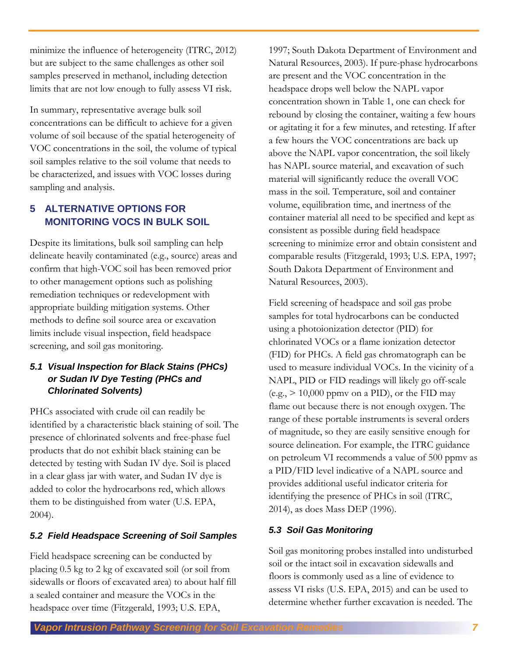minimize the influence of heterogeneity (ITRC, 2012) but are subject to the same challenges as other soil samples preserved in methanol, including detection limits that are not low enough to fully assess VI risk.

In summary, representative average bulk soil concentrations can be difficult to achieve for a given volume of soil because of the spatial heterogeneity of VOC concentrations in the soil, the volume of typical soil samples relative to the soil volume that needs to be characterized, and issues with VOC losses during sampling and analysis.

# <span id="page-6-0"></span>**5 ALTERNATIVE OPTIONS FOR MONITORING VOCS IN BULK SOIL**

Despite its limitations, bulk soil sampling can help delineate heavily contaminated (e.g., source) areas and confirm that high-VOC soil has been removed prior to other management options such as polishing remediation techniques or redevelopment with appropriate building mitigation systems. Other methods to define soil source area or excavation limits include visual inspection, field headspace screening, and soil gas monitoring.

#### <span id="page-6-1"></span>*5.1 Visual Inspection for Black Stains (PHCs) or Sudan IV Dye Testing (PHCs and Chlorinated Solvents)*

PHCs associated with crude oil can readily be identified by a characteristic black staining of soil. The presence of chlorinated solvents and free-phase fuel products that do not exhibit black staining can be detected by testing with Sudan IV dye. Soil is placed in a clear glass jar with water, and Sudan IV dye is added to color the hydrocarbons red, which allows them to be distinguished from water (U.S. EPA, 2004).

## <span id="page-6-2"></span>*5.2 Field Headspace Screening of Soil Samples*

Field headspace screening can be conducted by placing 0.5 kg to 2 kg of excavated soil (or soil from sidewalls or floors of excavated area) to about half fill a sealed container and measure the VOCs in the headspace over time (Fitzgerald, 1993; U.S. EPA,

1997; South Dakota Department of Environment and Natural Resources, 2003). If pure-phase hydrocarbons are present and the VOC concentration in the headspace drops well below the NAPL vapor concentration shown in Table 1, one can check for rebound by closing the container, waiting a few hours or agitating it for a few minutes, and retesting. If after a few hours the VOC concentrations are back up above the NAPL vapor concentration, the soil likely has NAPL source material, and excavation of such material will significantly reduce the overall VOC mass in the soil. Temperature, soil and container volume, equilibration time, and inertness of the container material all need to be specified and kept as consistent as possible during field headspace screening to minimize error and obtain consistent and comparable results (Fitzgerald, 1993; U.S. EPA, 1997; South Dakota Department of Environment and Natural Resources, 2003).

Field screening of headspace and soil gas probe samples for total hydrocarbons can be conducted using a photoionization detector (PID) for chlorinated VOCs or a flame ionization detector (FID) for PHCs. A field gas chromatograph can be used to measure individual VOCs. In the vicinity of a NAPL, PID or FID readings will likely go off-scale  $(e.g., > 10,000$  ppmv on a PID), or the FID may flame out because there is not enough oxygen. The range of these portable instruments is several orders of magnitude, so they are easily sensitive enough for source delineation. For example, the ITRC guidance on petroleum VI recommends a value of 500 ppmv as a PID/FID level indicative of a NAPL source and provides additional useful indicator criteria for identifying the presence of PHCs in soil (ITRC, 2014), as does Mass DEP (1996).

## <span id="page-6-3"></span>*5.3 Soil Gas Monitoring*

Soil gas monitoring probes installed into undisturbed soil or the intact soil in excavation sidewalls and floors is commonly used as a line of evidence to assess VI risks (U.S. EPA, 2015) and can be used to determine whether further excavation is needed. The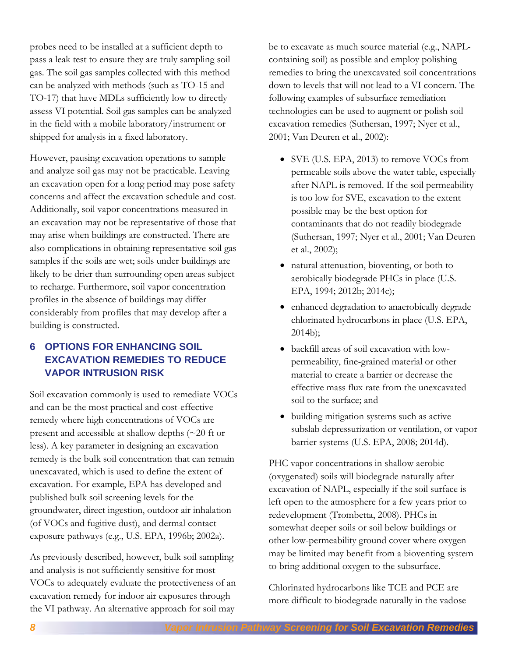probes need to be installed at a sufficient depth to pass a leak test to ensure they are truly sampling soil gas. The soil gas samples collected with this method can be analyzed with methods (such as TO-15 and TO-17) that have MDLs sufficiently low to directly assess VI potential. Soil gas samples can be analyzed in the field with a mobile laboratory/instrument or shipped for analysis in a fixed laboratory.

However, pausing excavation operations to sample and analyze soil gas may not be practicable. Leaving an excavation open for a long period may pose safety concerns and affect the excavation schedule and cost. Additionally, soil vapor concentrations measured in an excavation may not be representative of those that may arise when buildings are constructed. There are also complications in obtaining representative soil gas samples if the soils are wet; soils under buildings are likely to be drier than surrounding open areas subject to recharge. Furthermore, soil vapor concentration profiles in the absence of buildings may differ considerably from profiles that may develop after a building is constructed.

# <span id="page-7-0"></span>**6 OPTIONS FOR ENHANCING SOIL EXCAVATION REMEDIES TO REDUCE VAPOR INTRUSION RISK**

Soil excavation commonly is used to remediate VOCs and can be the most practical and cost-effective remedy where high concentrations of VOCs are present and accessible at shallow depths (~20 ft or less). A key parameter in designing an excavation remedy is the bulk soil concentration that can remain unexcavated, which is used to define the extent of excavation. For example, EPA has developed and published bulk soil screening levels for the groundwater, direct ingestion, outdoor air inhalation (of VOCs and fugitive dust), and dermal contact exposure pathways (e.g., U.S. EPA, 1996b; 2002a).

As previously described, however, bulk soil sampling and analysis is not sufficiently sensitive for most VOCs to adequately evaluate the protectiveness of an excavation remedy for indoor air exposures through the VI pathway. An alternative approach for soil may

be to excavate as much source material (e.g., NAPLcontaining soil) as possible and employ polishing remedies to bring the unexcavated soil concentrations down to levels that will not lead to a VI concern. The following examples of subsurface remediation technologies can be used to augment or polish soil excavation remedies (Suthersan, 1997; Nyer et al., 2001; Van Deuren et al., 2002):

- SVE (U.S. EPA, 2013) to remove VOCs from permeable soils above the water table, especially after NAPL is removed. If the soil permeability is too low for SVE, excavation to the extent possible may be the best option for contaminants that do not readily biodegrade (Suthersan, 1997; Nyer et al., 2001; Van Deuren et al., 2002);
- natural attenuation, bioventing, or both to aerobically biodegrade PHCs in place (U.S. EPA, 1994; 2012b; 2014c);
- enhanced degradation to anaerobically degrade chlorinated hydrocarbons in place (U.S. EPA, 2014b);
- backfill areas of soil excavation with lowpermeability, fine-grained material or other material to create a barrier or decrease the effective mass flux rate from the unexcavated soil to the surface; and
- building mitigation systems such as active subslab depressurization or ventilation, or vapor barrier systems (U.S. EPA, 2008; 2014d).

PHC vapor concentrations in shallow aerobic (oxygenated) soils will biodegrade naturally after excavation of NAPL, especially if the soil surface is left open to the atmosphere for a few years prior to redevelopment (Trombetta, 2008). PHCs in somewhat deeper soils or soil below buildings or other low-permeability ground cover where oxygen may be limited may benefit from a bioventing system to bring additional oxygen to the subsurface.

Chlorinated hydrocarbons like TCE and PCE are more difficult to biodegrade naturally in the vadose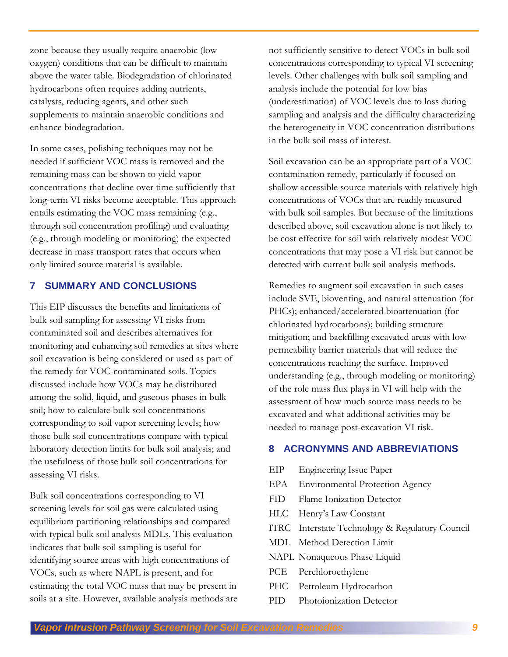zone because they usually require anaerobic (low oxygen) conditions that can be difficult to maintain above the water table. Biodegradation of chlorinated hydrocarbons often requires adding nutrients, catalysts, reducing agents, and other such supplements to maintain anaerobic conditions and enhance biodegradation.

In some cases, polishing techniques may not be needed if sufficient VOC mass is removed and the remaining mass can be shown to yield vapor concentrations that decline over time sufficiently that long-term VI risks become acceptable. This approach entails estimating the VOC mass remaining (e.g., through soil concentration profiling) and evaluating (e.g., through modeling or monitoring) the expected decrease in mass transport rates that occurs when only limited source material is available.

#### <span id="page-8-0"></span>**7 SUMMARY AND CONCLUSIONS**

This EIP discusses the benefits and limitations of bulk soil sampling for assessing VI risks from contaminated soil and describes alternatives for monitoring and enhancing soil remedies at sites where soil excavation is being considered or used as part of the remedy for VOC-contaminated soils. Topics discussed include how VOCs may be distributed among the solid, liquid, and gaseous phases in bulk soil; how to calculate bulk soil concentrations corresponding to soil vapor screening levels; how those bulk soil concentrations compare with typical laboratory detection limits for bulk soil analysis; and the usefulness of those bulk soil concentrations for assessing VI risks.

Bulk soil concentrations corresponding to VI screening levels for soil gas were calculated using equilibrium partitioning relationships and compared with typical bulk soil analysis MDLs. This evaluation indicates that bulk soil sampling is useful for identifying source areas with high concentrations of VOCs, such as where NAPL is present, and for estimating the total VOC mass that may be present in soils at a site. However, available analysis methods are

not sufficiently sensitive to detect VOCs in bulk soil concentrations corresponding to typical VI screening levels. Other challenges with bulk soil sampling and analysis include the potential for low bias (underestimation) of VOC levels due to loss during sampling and analysis and the difficulty characterizing the heterogeneity in VOC concentration distributions in the bulk soil mass of interest.

Soil excavation can be an appropriate part of a VOC contamination remedy, particularly if focused on shallow accessible source materials with relatively high concentrations of VOCs that are readily measured with bulk soil samples. But because of the limitations described above, soil excavation alone is not likely to be cost effective for soil with relatively modest VOC concentrations that may pose a VI risk but cannot be detected with current bulk soil analysis methods.

Remedies to augment soil excavation in such cases include SVE, bioventing, and natural attenuation (for PHCs); enhanced/accelerated bioattenuation (for chlorinated hydrocarbons); building structure mitigation; and backfilling excavated areas with lowpermeability barrier materials that will reduce the concentrations reaching the surface. Improved understanding (e.g., through modeling or monitoring) of the role mass flux plays in VI will help with the assessment of how much source mass needs to be excavated and what additional activities may be needed to manage post-excavation VI risk.

#### <span id="page-8-1"></span>**8 ACRONYMNS AND ABBREVIATIONS**

- EIP Engineering Issue Paper
- EPA Environmental Protection Agency
- FID Flame Ionization Detector
- HLC Henry's Law Constant
- ITRC Interstate Technology & Regulatory Council
- MDL Method Detection Limit
- NAPL Nonaqueous Phase Liquid
- PCE Perchloroethylene
- PHC Petroleum Hydrocarbon
- PID Photoionization Detector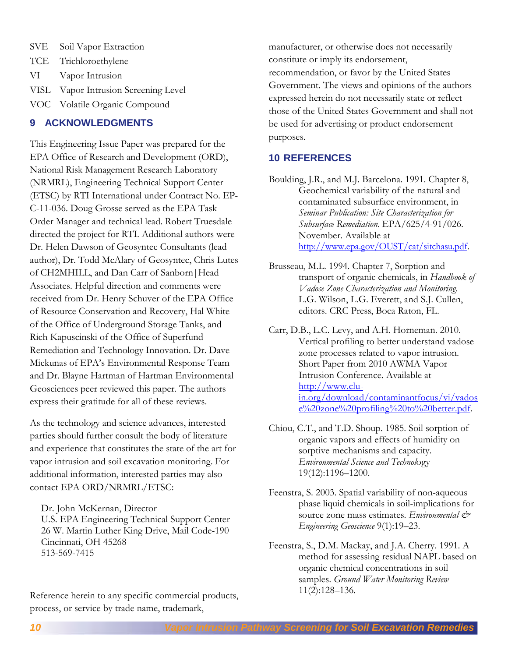- SVE Soil Vapor Extraction
- TCE Trichloroethylene
- VI Vapor Intrusion
- VISL Vapor Intrusion Screening Level
- VOC Volatile Organic Compound

#### <span id="page-9-0"></span>**9 ACKNOWLEDGMENTS**

This Engineering Issue Paper was prepared for the EPA Office of Research and Development (ORD), National Risk Management Research Laboratory (NRMRL), Engineering Technical Support Center (ETSC) by RTI International under Contract No. EP-C-11-036. Doug Grosse served as the EPA Task Order Manager and technical lead. Robert Truesdale directed the project for RTI. Additional authors were Dr. Helen Dawson of Geosyntec Consultants (lead author), Dr. Todd McAlary of Geosyntec, Chris Lutes of CH2MHILL, and Dan Carr of Sanborn|Head Associates. Helpful direction and comments were received from Dr. Henry Schuver of the EPA Office of Resource Conservation and Recovery, Hal White of the Office of Underground Storage Tanks, and Rich Kapuscinski of the Office of Superfund Remediation and Technology Innovation. Dr. Dave Mickunas of EPA's Environmental Response Team and Dr. Blayne Hartman of Hartman Environmental Geosciences peer reviewed this paper. The authors express their gratitude for all of these reviews.

As the technology and science advances, interested parties should further consult the body of literature and experience that constitutes the state of the art for vapor intrusion and soil excavation monitoring. For additional information, interested parties may also contact EPA ORD/NRMRL/ETSC:

Dr. John McKernan, Director U.S. EPA Engineering Technical Support Center 26 W. Martin Luther King Drive, Mail Code-190 Cincinnati, OH 45268 513-569-7415

Reference herein to any specific commercial products, process, or service by trade name, trademark,

manufacturer, or otherwise does not necessarily constitute or imply its endorsement, recommendation, or favor by the United States Government. The views and opinions of the authors expressed herein do not necessarily state or reflect those of the United States Government and shall not be used for advertising or product endorsement purposes.

#### <span id="page-9-1"></span>**10 REFERENCES**

Boulding, J.R., and M.J. Barcelona. 1991. Chapter 8, Geochemical variability of the natural and contaminated subsurface environment, in *Seminar Publication: Site Characterization for Subsurface Remediation*. EPA/625/4-91/026. November. Available at [http://www.epa.gov/OUST/cat/sitchasu.pdf.](http://www.epa.gov/OUST/cat/sitchasu.pdf)

- Brusseau, M.L. 1994. Chapter 7, Sorption and transport of organic chemicals, in *Handbook of Vadose Zone Characterization and Monitoring*. L.G. Wilson, L.G. Everett, and S.J. Cullen, editors. CRC Press, Boca Raton, FL.
- Carr, D.B., L.C. Levy, and A.H. Horneman. 2010. Vertical profiling to better understand vadose zone processes related to vapor intrusion. Short Paper from 2010 AWMA Vapor Intrusion Conference. Available at [http://www.clu](http://www.clu-in.org/download/contaminantfocus/vi/vadose%20zone%20profiling%20to%20better.pdf)[in.org/download/contaminantfocus/vi/vados](http://www.clu-in.org/download/contaminantfocus/vi/vadose%20zone%20profiling%20to%20better.pdf) [e%20zone%20profiling%20to%20better.pdf.](http://www.clu-in.org/download/contaminantfocus/vi/vadose%20zone%20profiling%20to%20better.pdf)
- Chiou, C.T., and T.D. Shoup. 1985. Soil sorption of organic vapors and effects of humidity on sorptive mechanisms and capacity. *Environmental Science and Technol*ogy 19(12):1196–1200.
- Feenstra, S. 2003. Spatial variability of non-aqueous phase liquid chemicals in soil-implications for source zone mass estimates. *Environmental & Engineering Geoscience* 9(1):19–23.
- Feenstra, S., D.M. Mackay, and J.A. Cherry. 1991. A method for assessing residual NAPL based on organic chemical concentrations in soil samples. *Ground Water Monitoring Review* 11(2):128–136.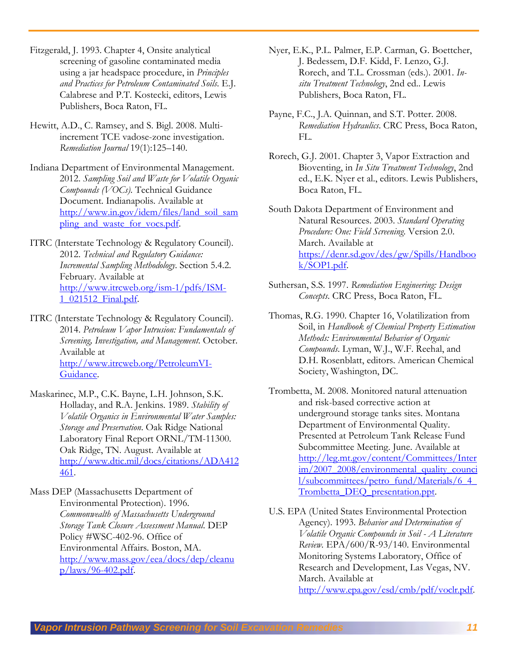- Fitzgerald, J. 1993. Chapter 4, Onsite analytical screening of gasoline contaminated media using a jar headspace procedure, in *Principles and Practices for Petroleum Contaminated Soils*. E.J. Calabrese and P.T. Kostecki, editors, Lewis Publishers, Boca Raton, FL.
- Hewitt, A.D., C. Ramsey, and S. Bigl. 2008. Multiincrement TCE vadose-zone investigation. *Remediation Journal* 19(1):125–140.
- Indiana Department of Environmental Management. 2012. *Sampling Soil and Waste for Volatile Organic Compounds (VOCs)*. Technical Guidance Document. Indianapolis. Available at [http://www.in.gov/idem/files/land\\_soil\\_sam](http://www.in.gov/idem/files/land_soil_sampling_and_waste_for_vocs.pdf) [pling\\_and\\_waste\\_for\\_vocs.pdf.](http://www.in.gov/idem/files/land_soil_sampling_and_waste_for_vocs.pdf)
- ITRC (Interstate Technology & Regulatory Council). 2012. *Technical and Regulatory Guidance: Incremental Sampling Methodology*. Section 5.4.2. February. Available at [http://www.itrcweb.org/ism-1/pdfs/ISM-](http://www.itrcweb.org/ism-1/pdfs/ISM-1_021512_Final.pdf)[1\\_021512\\_Final.pdf.](http://www.itrcweb.org/ism-1/pdfs/ISM-1_021512_Final.pdf)
- ITRC (Interstate Technology & Regulatory Council). 2014. *Petroleum Vapor Intrusion: Fundamentals of Screening, Investigation, and Management*. October. Available at http:/[/www.itrcweb.org/PetroleumVI-](http://www.itrcweb.org/PetroleumVI-Guidance)[Guidance.](http://www.itrcweb.org/PetroleumVI-Guidance)
- Maskarinec, M.P., C.K. Bayne, L.H. Johnson, S.K. Holladay, and R.A. Jenkins. 1989. *Stability of Volatile Organics in Environmental Water Samples: Storage and Preservation*. Oak Ridge National Laboratory Final Report ORNL/TM-11300. Oak Ridge, TN. August. Available at [http://www.dtic.mil/docs/citations/ADA412](http://www.dtic.mil/docs/citations/ADA412461) [461.](http://www.dtic.mil/docs/citations/ADA412461)
- Mass DEP (Massachusetts Department of Environmental Protection). 1996. *Commonwealth of Massachusetts Underground Storage Tank Closure Assessment Manual*. DEP Policy #WSC-402-96. Office of Environmental Affairs. Boston, MA. [http://www.mass.gov/eea/docs/dep/cleanu](http://www.mass.gov/eea/docs/dep/cleanup/laws/96-402.pdf)  $p/$ laws/96-402.pdf.
- Nyer, E.K., P.L. Palmer, E.P. Carman, G. Boettcher, J. Bedessem, D.F. Kidd, F. Lenzo, G.J. Rorech, and T.L. Crossman (eds.). 2001. *Insitu Treatment Technology*, 2nd ed.. Lewis Publishers, Boca Raton, FL.
- Payne, F.C., J.A. Quinnan, and S.T. Potter. 2008. *Remediation Hydraulics*. CRC Press, Boca Raton, FL.
- Rorech, G.J. 2001. Chapter 3, Vapor Extraction and Bioventing, in *In Situ Treatment Technology*, 2nd ed., E.K. Nyer et al., editors. Lewis Publishers, Boca Raton, FL.
- South Dakota Department of Environment and Natural Resources. 2003. *Standard Operating Procedure: One: Field Screening*. Version 2.0. March. Available at [https://denr.sd.gov/des/gw/Spills/Handboo](https://denr.sd.gov/des/gw/Spills/Handbook/SOP1.pdf) [k/SOP1.pdf.](https://denr.sd.gov/des/gw/Spills/Handbook/SOP1.pdf)
- Suthersan, S.S. 1997. *Remediation Engineering: Design Concepts*. CRC Press, Boca Raton, FL.
- Thomas, R.G. 1990. Chapter 16, Volatilization from Soil, in *Handbook of Chemical Property Estimation Methods: Environmental Behavior of Organic Compounds*. Lyman, W.J., W.F. Reehal, and D.H. Rosenblatt, editors. American Chemical Society, Washington, DC.
- Trombetta, M. 2008. Monitored natural attenuation and risk-based corrective action at underground storage tanks sites. Montana Department of Environmental Quality. Presented at Petroleum Tank Release Fund Subcommittee Meeting. June. Available at [http://leg.mt.gov/content/Committees/Inter](http://leg.mt.gov/content/Committees/Interim/2007_2008/environmental_quality_council/subcommittees/petro_fund/Materials/6_4_Trombetta_DEQ_presentation.ppt) [im/2007\\_2008/environmental\\_quality\\_counci](http://leg.mt.gov/content/Committees/Interim/2007_2008/environmental_quality_council/subcommittees/petro_fund/Materials/6_4_Trombetta_DEQ_presentation.ppt) [l/subcommittees/petro\\_fund/Materials/6\\_4\\_](http://leg.mt.gov/content/Committees/Interim/2007_2008/environmental_quality_council/subcommittees/petro_fund/Materials/6_4_Trombetta_DEQ_presentation.ppt) [Trombetta\\_DEQ\\_presentation.ppt.](http://leg.mt.gov/content/Committees/Interim/2007_2008/environmental_quality_council/subcommittees/petro_fund/Materials/6_4_Trombetta_DEQ_presentation.ppt)
- U.S. EPA (United States Environmental Protection Agency). 1993. *Behavior and Determination of Volatile Organic Compounds in Soil - A Literature Review.* EPA/600/R-93/140. Environmental Monitoring Systems Laboratory, Office of Research and Development, Las Vegas, NV. March. Available at [http://www.epa.gov/esd/cmb/pdf/voclr.pdf.](http://www.epa.gov/esd/cmb/pdf/voclr.pdf)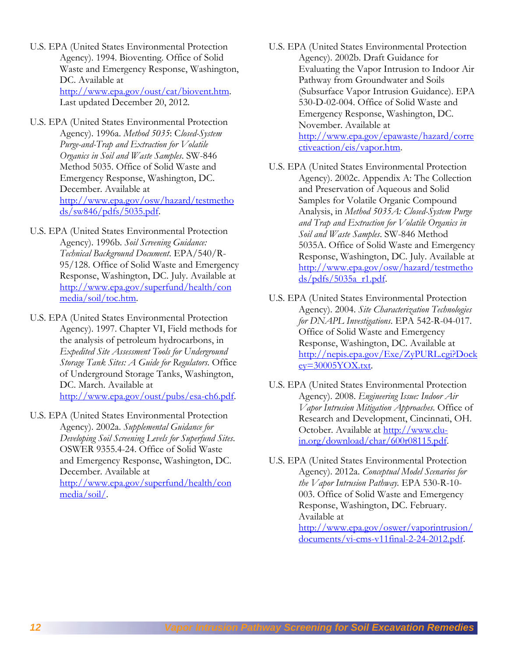- U.S. EPA (United States Environmental Protection Agency). 1994. Bioventing. Office of Solid Waste and Emergency Response, Washington, DC. Available at [http://www.epa.gov/oust/cat/biovent.htm.](http://www.epa.gov/oust/cat/biovent.htm) Last updated December 20, 2012.
- U.S. EPA (United States Environmental Protection Agency). 1996a. *Method 5035*: C*losed-System Purge-and-Trap and Extraction for Volatile Organics in Soil and Waste Samples*. SW-846 Method 5035. Office of Solid Waste and Emergency Response, Washington, DC. December. Available at [http://www.epa.gov/osw/hazard/testmetho](http://www.epa.gov/osw/hazard/testmethods/sw846/pdfs/5035.pdf) [ds/sw846/pdfs/5035.pdf.](http://www.epa.gov/osw/hazard/testmethods/sw846/pdfs/5035.pdf)
- U.S. EPA (United States Environmental Protection Agency). 1996b. *Soil Screening Guidance: Technical Background Document*. EPA/540/R-95/128. Office of Solid Waste and Emergency Response, Washington, DC. July. Available at [http://www.epa.gov/superfund/health/con](http://www.epa.gov/superfund/health/conmedia/soil/toc.htm) [media/soil/toc.htm.](http://www.epa.gov/superfund/health/conmedia/soil/toc.htm)
- U.S. EPA (United States Environmental Protection Agency). 1997. Chapter VI, Field methods for the analysis of petroleum hydrocarbons, in *Expedited Site Assessment Tools for Underground Storage Tank Sites: A Guide for Regulators*. Office of Underground Storage Tanks, Washington, DC. March. Available at [http://www.epa.gov/oust/pubs/esa-ch6.pdf.](http://www.epa.gov/oust/pubs/esa-ch6.pdf)
- U.S. EPA (United States Environmental Protection Agency). 2002a. *Supplemental Guidance for Developing Soil Screening Levels for Superfund Sites*. OSWER 9355.4-24. Office of Solid Waste and Emergency Response, Washington, DC. December. Available at [http://www.epa.gov/superfund/health/con](http://www.epa.gov/superfund/health/conmedia/soil/) [media/soil/.](http://www.epa.gov/superfund/health/conmedia/soil/)
- U.S. EPA (United States Environmental Protection Agency). 2002b. Draft Guidance for Evaluating the Vapor Intrusion to Indoor Air Pathway from Groundwater and Soils (Subsurface Vapor Intrusion Guidance). EPA 530-D-02-004. Office of Solid Waste and Emergency Response, Washington, DC. November. Available at [http://www.epa.gov/epawaste/hazard/corre](http://www.epa.gov/epawaste/hazard/correctiveaction/eis/vapor.htm) [ctiveaction/eis/vapor.htm.](http://www.epa.gov/epawaste/hazard/correctiveaction/eis/vapor.htm)
- U.S. EPA (United States Environmental Protection Agency). 2002c. Appendix A: The Collection and Preservation of Aqueous and Solid Samples for Volatile Organic Compound Analysis, in *Method 5035A: Closed-System Purge and Trap and Extraction for Volatile Organics in Soil and Waste Samples*. SW-846 Method 5035A. Office of Solid Waste and Emergency Response, Washington, DC. July. Available at [http://www.epa.gov/osw/hazard/testmetho](http://www.epa.gov/osw/hazard/testmethods/pdfs/5035a_r1.pdf) [ds/pdfs/5035a\\_r1.pdf.](http://www.epa.gov/osw/hazard/testmethods/pdfs/5035a_r1.pdf)
- U.S. EPA (United States Environmental Protection Agency). 2004. *Site Characterization Technologies for DNAPL Investigations*. EPA 542-R-04-017. Office of Solid Waste and Emergency Response, Washington, DC. Available at [http://nepis.epa.gov/Exe/ZyPURL.cgi?Dock](http://nepis.epa.gov/Exe/ZyPURL.cgi?Dockey=30005YOX.txt)  $ey=30005YOX.txt$ .
- U.S. EPA (United States Environmental Protection Agency). 2008. *Engineering Issue: Indoor Air Vapor Intrusion Mitigation Approaches*. Office of Research and Development, Cincinnati, OH. October. Available at [http://www.clu](http://www.clu-in.org/download/char/600r08115.pdf)[in.org/download/char/600r08115.pdf.](http://www.clu-in.org/download/char/600r08115.pdf)
- U.S. EPA (United States Environmental Protection Agency). 2012a. *Conceptual Model Scenarios for the Vapor Intrusion Pathway.* EPA 530-R-10- 003. Office of Solid Waste and Emergency Response, Washington, DC. February. Available at [http://www.epa.gov/oswer/vaporintrusion/](http://www.epa.gov/oswer/vaporintrusion/documents/vi-cms-v11final-2-24-2012.pdf) [documents/vi-cms-v11final-2-24-2012.pdf.](http://www.epa.gov/oswer/vaporintrusion/documents/vi-cms-v11final-2-24-2012.pdf)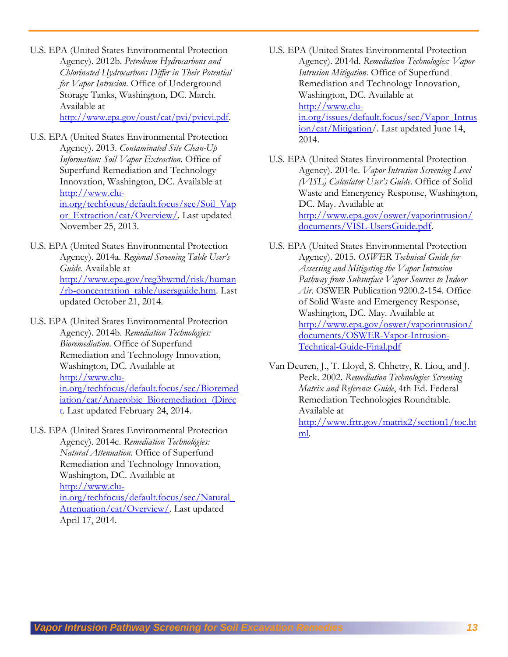- U.S. EPA (United States Environmental Protection Agency). 2012b. *Petroleum Hydrocarbons and Chlorinated Hydrocarbons Differ in Their Potential for Vapor Intrusion*. Office of Underground Storage Tanks, Washington, DC. March. Available at [http://www.epa.gov/oust/cat/pvi/pvicvi.pdf.](http://www.epa.gov/oust/cat/pvi/pvicvi.pdf)
- U.S. EPA (United States Environmental Protection Agency). 2013. *Contaminated Site Clean-Up Information: Soil Vapor Extraction*. Office of Superfund Remediation and Technology Innovation, Washington, DC. Available at [http://www.clu](http://www.clu-in.org/techfocus/default.focus/sec/Soil_Vapor_Extraction/cat/Overview/)[in.org/techfocus/default.focus/sec/Soil\\_Vap](http://www.clu-in.org/techfocus/default.focus/sec/Soil_Vapor_Extraction/cat/Overview/) [or\\_Extraction/cat/Overview/.](http://www.clu-in.org/techfocus/default.focus/sec/Soil_Vapor_Extraction/cat/Overview/) Last updated November 25, 2013.
- U.S. EPA (United States Environmental Protection Agency). 2014a. *Regional Screening Table User's Guide.* Available at [http://www.epa.gov/reg3hwmd/risk/human](http://www.epa.gov/reg3hwmd/risk/human/rb-concentration_table/usersguide.htm) [/rb-concentration\\_table/usersguide.htm.](http://www.epa.gov/reg3hwmd/risk/human/rb-concentration_table/usersguide.htm) Last updated October 21, 2014.
- U.S. EPA (United States Environmental Protection Agency). 2014b. *Remediation Technologies: Bioremediation*. Office of Superfund Remediation and Technology Innovation, Washington, DC. Available at [http://www.clu](http://www.clu-in.org/techfocus/default.focus/sec/Bioremediation/cat/Anaerobic_Bioremediation_(Direct)[in.org/techfocus/default.focus/sec/Bioremed](http://www.clu-in.org/techfocus/default.focus/sec/Bioremediation/cat/Anaerobic_Bioremediation_(Direct) [iation/cat/Anaerobic\\_Bioremediation\\_\(Direc](http://www.clu-in.org/techfocus/default.focus/sec/Bioremediation/cat/Anaerobic_Bioremediation_(Direct) [t.](http://www.clu-in.org/techfocus/default.focus/sec/Bioremediation/cat/Anaerobic_Bioremediation_(Direct) Last updated February 24, 2014.
- U.S. EPA (United States Environmental Protection Agency). 2014c. *Remediation Technologies: Natural Attenuation*. Office of Superfund Remediation and Technology Innovation, Washington, DC. Available at [http://www.clu](http://www.clu-in.org/techfocus/default.focus/sec/Natural_Attenuation/cat/Overview/)[in.org/techfocus/default.focus/sec/Natural\\_](http://www.clu-in.org/techfocus/default.focus/sec/Natural_Attenuation/cat/Overview/) [Attenuation/cat/Overview/.](http://www.clu-in.org/techfocus/default.focus/sec/Natural_Attenuation/cat/Overview/) Last updated April 17, 2014.
- U.S. EPA (United States Environmental Protection Agency). 2014d. *Remediation Technologies: Vapor Intrusion Mitigation*. Office of Superfund Remediation and Technology Innovation, Washington, DC. Available at [http://www.clu](http://www.clu-in.org/issues/default.focus/sec/Vapor_Intrusion/cat/Mitigation/)[in.org/issues/default.focus/sec/Vapor\\_Intrus](http://www.clu-in.org/issues/default.focus/sec/Vapor_Intrusion/cat/Mitigation/) [ion/cat/Mitigation/.](http://www.clu-in.org/issues/default.focus/sec/Vapor_Intrusion/cat/Mitigation/) Last updated June 14, 2014.
- U.S. EPA (United States Environmental Protection Agency). 2014e. *Vapor Intrusion Screening Level (VISL) Calculator User's Guide*. Office of Solid Waste and Emergency Response, Washington, DC. May. Available at [http://www.epa.gov/oswer/vaporintrusion/](http://www.epa.gov/oswer/vaporintrusion/documents/VISL-UsersGuide.pdf) [documents/VISL-UsersGuide.pdf.](http://www.epa.gov/oswer/vaporintrusion/documents/VISL-UsersGuide.pdf)
- U.S. EPA (United States Environmental Protection Agency). 2015. *OSWER Technical Guide for Assessing and Mitigating the Vapor Intrusion Pathway from Subsurface Vapor Sources to Indoor Air*. OSWER Publication 9200.2-154. Office of Solid Waste and Emergency Response, Washington, DC. May. Available at [http://www.epa.gov/oswer/vaporintrusion/](http://www.epa.gov/oswer/vaporintrusion/documents/OSWER-Vapor-Intrusion-Technical-Guide-Final.pdf) [documents/OSWER-Vapor-Intrusion-](http://www.epa.gov/oswer/vaporintrusion/documents/OSWER-Vapor-Intrusion-Technical-Guide-Final.pdf)[Technical-Guide-Final.pdf](http://www.epa.gov/oswer/vaporintrusion/documents/OSWER-Vapor-Intrusion-Technical-Guide-Final.pdf)
- Van Deuren, J., T. Lloyd, S. Chhetry, R. Liou, and J. Peck. 2002. *Remediation Technologies Screening Matrix and Reference Guide*, 4th Ed. Federal Remediation Technologies Roundtable. Available at [http://www.frtr.gov/matrix2/section1/toc.ht](http://www.frtr.gov/matrix2/section1/toc.html) [ml.](http://www.frtr.gov/matrix2/section1/toc.html)